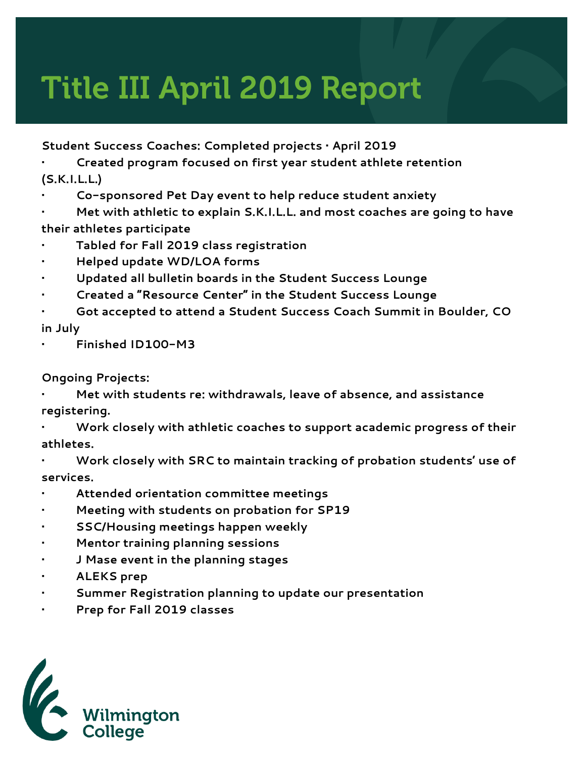## Title III April 2019 Report

**Student Success Coaches: Completed projects • April 2019**

**• Created program focused on first year student athlete retention (S.K.I.L.L.)**

**• Co-sponsored Pet Day event to help reduce student anxiety**

**• Met with athletic to explain S.K.I.L.L. and most coaches are going to have their athletes participate**

- **• Tabled for Fall 2019 class registration**
- **• Helped update WD/LOA forms**
- **• Updated all bulletin boards in the Student Success Lounge**
- **• Created a "Resource Center" in the Student Success Lounge**
- **• Got accepted to attend a Student Success Coach Summit in Boulder, CO**
- **in July**
- **• Finished ID100-M3**

**Ongoing Projects:**

- **• Met with students re: withdrawals, leave of absence, and assistance registering.**
- **• Work closely with athletic coaches to support academic progress of their athletes.**
- **• Work closely with SRC to maintain tracking of probation students' use of services.**
- **• Attended orientation committee meetings**
- **• Meeting with students on probation for SP19**
- **• SSC/Housing meetings happen weekly**
- **• Mentor training planning sessions**
- **• J Mase event in the planning stages**
- **• ALEKS prep**
- **• Summer Registration planning to update our presentation**
- **• Prep for Fall 2019 classes**

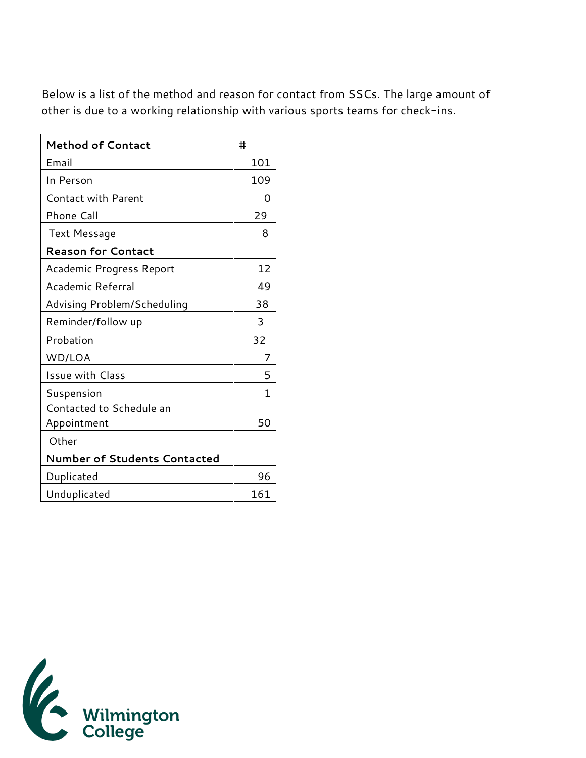Below is a list of the method and reason for contact from SSCs. The large amount of other is due to a working relationship with various sports teams for check-ins.

| <b>Method of Contact</b>            | #   |
|-------------------------------------|-----|
| Email                               | 101 |
| In Person                           | 109 |
| <b>Contact with Parent</b>          | Ω   |
| Phone Call                          | 29  |
| Text Message                        | 8   |
| <b>Reason for Contact</b>           |     |
| Academic Progress Report            | 12  |
| Academic Referral                   | 49  |
| Advising Problem/Scheduling         | 38  |
| Reminder/follow up                  | 3   |
| Probation                           | 32  |
| WD/LOA                              | 7   |
| <b>Issue with Class</b>             | 5   |
| Suspension                          | 1   |
| Contacted to Schedule an            |     |
| Appointment                         | 50  |
| Other                               |     |
| <b>Number of Students Contacted</b> |     |
| Duplicated                          | 96  |
| Unduplicated                        | 161 |